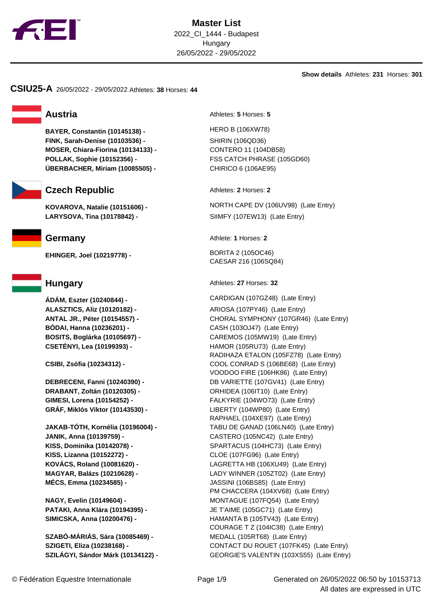

**Show details** Athletes: **231** Horses: **301**

**CSIU25-A** 26/05/2022 - 29/05/2022 Athletes: **38** Horses: **44**

**BAYER, Constantin (10145138) -** HERO B (106XW78) **FINK, Sarah-Denise (10103536) -** SHIRIN (106QD36) **MOSER, Chiara-Fiorina (10134133) -** CONTERO 11 (104DB58) **POLLAK, Sophie (10152356) -** FSS CATCH PHRASE (105GD60) **ÜBERBACHER, Miriam (10085505) -** CHIRICO 6 (106AE95)



# **Czech Republic** Athletes: **2** Horses: **2**

**LARYSOVA, Tina (10178842) -** SIIMFY (107EW13) (Late Entry)

**EHINGER, Joel (10219778) -** BORITA 2 (105OC46)

**ÁDÁM, Eszter (10240844) -** CARDIGAN (107GZ48) (Late Entry) **BÓDAI, Hanna (10236201) -** CASH (103OJ47) (Late Entry)

**DRABANT, Zoltán (10120305) -** ORHIDEA (106IT10) (Late Entry) **GRÁF, Miklós Viktor (10143530) -** LIBERTY (104WP80) (Late Entry)

**JANIK, Anna (10139759) -** CASTERO (105NC42) (Late Entry) **KISS, Lizanna (10152272) -** CLOE (107FG96) (Late Entry) **MÉCS, Emma (10234585) -** JASSINI (106BS85) (Late Entry)

**SZABÓ-MÁRIÁS, Sára (10085469) -** MEDALL (105RT68) (Late Entry)

**Austria** Athletes: **5** Horses: **5** 

**KOVAROVA, Natalie (10151606) -** NORTH CAPE DV (106UV98) (Late Entry)

**Germany** Athlete: **1** Horses: **2** 

CAESAR 216 (106SQ84)

**Hungary Athletes: 27 Horses: 32** 

**ALASZTICS, Aliz (10120182) -** ARIOSA (107PY46) (Late Entry) **ANTAL JR., Péter (10154557) -** CHORAL SYMPHONY (107GR46) (Late Entry) **BOSITS, Boglárka (10105697) -** CAREMOS (105MW19) (Late Entry) **CSETÉNYI, Lea (10199393) -** HAMOR (105RU73) (Late Entry) RADIHAZA ETALON (105FZ78) (Late Entry) **CSIBI, Zsófia (10234312) -** COOL CONRAD S (106BE68) (Late Entry) VOODOO FIRE (106HK86) (Late Entry) **DEBRECENI, Fanni (10240390) -** DB VARIETTE (107GV41) (Late Entry) **GIMESI, Lorena (10154252) -** FALKYRIE (104WO73) (Late Entry) RAPHAEL (104XE97) (Late Entry) **JAKAB-TÓTH, Kornélia (10196004) -** TABU DE GANAD (106LN40) (Late Entry) **KISS, Dominika (10142078) -** SPARTACUS (104HC73) (Late Entry) **KOVÁCS, Roland (10081620) -** LAGRETTA HB (106XU49) (Late Entry) **MAGYAR, Balázs (10210628) -** LADY WINNER (105ZT02) (Late Entry) PM CHACCERA (104XV68) (Late Entry) **NAGY, Evelin (10149604) -** MONTAGUE (107FQ54) (Late Entry) **PATAKI, Anna Klára (10194395) -** JE T'AIME (105GC71) (Late Entry) **SIMICSKA, Anna (10200476) -** HAMANTA B (105TV43) (Late Entry) COURAGE T Z (104IC38) (Late Entry) **SZIGETI, Eliza (10238168) -** CONTACT DU ROUET (107FK45) (Late Entry) **SZILÁGYI, Sándor Márk (10134122) -** GEORGIE'S VALENTIN (103XS55) (Late Entry)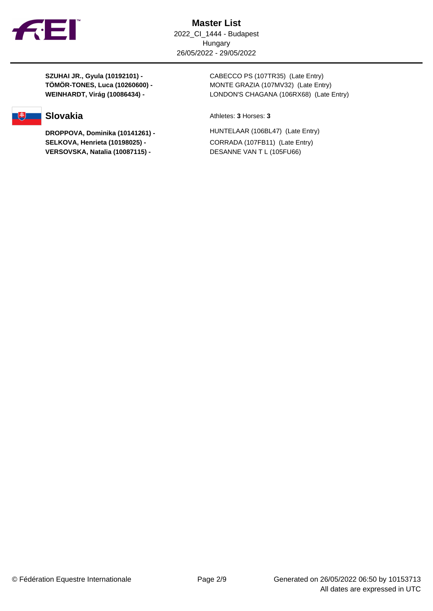

**SELKOVA, Henrieta (10198025) -** CORRADA (107FB11) (Late Entry) **VERSOVSKA, Natalia (10087115) -** DESANNE VAN T L (105FU66)

**SZUHAI JR., Gyula (10192101) -** CABECCO PS (107TR35) (Late Entry) **TÖMÖR-TONES, Luca (10260600) -** MONTE GRAZIA (107MV32) (Late Entry) **WEINHARDT, Virág (10086434) -** LONDON'S CHAGANA (106RX68) (Late Entry)

**Slovakia** Athletes: **3** Horses: **3** 

**DROPPOVA, Dominika (10141261) -** HUNTELAAR (106BL47) (Late Entry)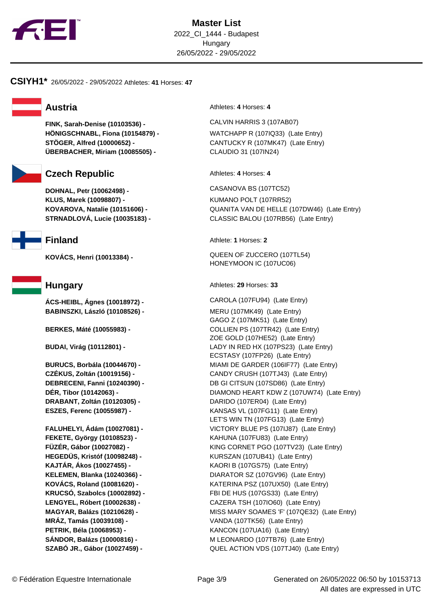

### **CSIYH1\*** 26/05/2022 - 29/05/2022 Athletes: **41** Horses: **47**

**FINK, Sarah-Denise (10103536) -** CALVIN HARRIS 3 (107AB07) **HÖNIGSCHNABL, Fiona (10154879) -** WATCHAPP R (107IQ33) (Late Entry) **STÖGER, Alfred (10000652) -** CANTUCKY R (107MK47) (Late Entry) **ÜBERBACHER, Miriam (10085505) -** CLAUDIO 31 (107IN24)



## **Czech Republic** Athletes: 4 Horses: 4

**DOHNAL, Petr (10062498) -** CASANOVA BS (107TC52) **KLUS, Marek (10098807) -** KUMANO POLT (107RR52)



**ÁCS-HEIBL, Ágnes (10018972) -** CAROLA (107FU94) (Late Entry) **BABINSZKI, László (10108526) -** MERU (107MK49) (Late Entry)

**DRABANT, Zoltán (10120305) -** DARIDO (107ER04) (Late Entry)

**FEKETE, György (10108523) -** KAHUNA (107FU83) (Late Entry) **KAJTÁR, Ákos (10027455) -** KAORI B (107GS75) (Late Entry) **MRÁZ, Tamás (10039108) -** VANDA (107TK56) (Late Entry) **PETRIK, Béla (10068953) -** KANCON (107UA16) (Late Entry)

**Austria Austria Athletes:** 4 Horses: 4

**KOVAROVA, Natalie (10151606) -** QUANITA VAN DE HELLE (107DW46) (Late Entry) **STRNADLOVÁ, Lucie (10035183) -** CLASSIC BALOU (107RB56) (Late Entry)

**Finland** Athlete: **1** Horses: **2**

**KOVÁCS, Henri (10013384) -** QUEEN OF ZUCCERO (107TL54) HONEYMOON IC (107UC06)

**Hungary Athletes: 29 Horses: 33** 

GAGO Z (107MK51) (Late Entry) **BERKES, Máté (10055983) -** COLLIEN PS (107TR42) (Late Entry) ZOE GOLD (107HE52) (Late Entry) **BUDAI, Virág (10112801) -** LADY IN RED HX (107PS23) (Late Entry) ECSTASY (107FP26) (Late Entry) **BURUCS, Borbála (10044670) -** MIAMI DE GARDER (106IF77) (Late Entry) **CZÉKUS, Zoltán (10019156) -** CANDY CRUSH (107TJ43) (Late Entry) **DEBRECENI, Fanni (10240390) -** DB GI CITSUN (107SD86) (Late Entry) **DÉR, Tibor (10142063) -** DIAMOND HEART KDW Z (107UW74) (Late Entry) **ESZES, Ferenc (10055987) -** KANSAS VL (107FG11) (Late Entry) LET'S WIN TN (107FG13) (Late Entry) **FALUHELYI, Ádám (10027081) -** VICTORY BLUE PS (107IJ87) (Late Entry) **FÜZÉR, Gábor (10027082) -** KING CORNET PGO (107TV23) (Late Entry) **HEGEDÜS, Kristóf (10098248) -** KURSZAN (107UB41) (Late Entry) **KELEMEN, Blanka (10240366) -** DIARATOR SZ (107GV96) (Late Entry) **KOVÁCS, Roland (10081620) -** KATERINA PSZ (107UX50) (Late Entry) **KRUCSÓ, Szabolcs (10002892) -** FBI DE HUS (107GS33) (Late Entry) **LENGYEL, Róbert (10002638) -** CAZERA TSH (107IO60) (Late Entry) **MAGYAR, Balázs (10210628) -** MISS MARY SOAMES 'F' (107QE32) (Late Entry) **SÁNDOR, Balázs (10000816) -** M LEONARDO (107TB76) (Late Entry) **SZABÓ JR., Gábor (10027459) -** QUEL ACTION VDS (107TJ40) (Late Entry)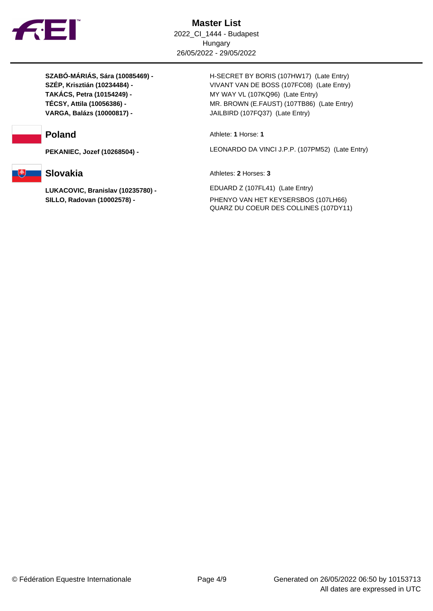

**VARGA, Balázs (10000817) -** JAILBIRD (107FQ37) (Late Entry)



**SZABÓ-MÁRIÁS, Sára (10085469) -** H-SECRET BY BORIS (107HW17) (Late Entry) **SZÉP, Krisztián (10234484) -** VIVANT VAN DE BOSS (107FC08) (Late Entry) **TAKÁCS, Petra (10154249) -** MY WAY VL (107KQ96) (Late Entry) **TÉCSY, Attila (10056386) -** MR. BROWN (E.FAUST) (107TB86) (Late Entry)

**Poland** Athlete: **1** Horse: **1** 

**PEKANIEC, Jozef (10268504) -** LEONARDO DA VINCI J.P.P. (107PM52) (Late Entry)

**Slovakia** Athletes: **2** Horses: **3** 

**LUKACOVIC, Branislav (10235780) -** EDUARD Z (107FL41) (Late Entry) **SILLO, Radovan (10002578) -** PHENYO VAN HET KEYSERSBOS (107LH66) QUARZ DU COEUR DES COLLINES (107DY11)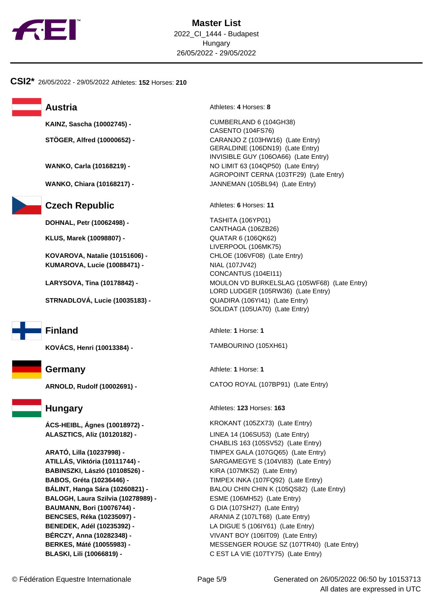

### **CSI2\*** 26/05/2022 - 29/05/2022 Athletes: **152** Horses: **210**



**Czech Republic** Athletes: **6** Horses: 11

**DOHNAL, Petr (10062498) -** TASHITA (106YP01)

**KLUS, Marek (10098807) -** QUATAR 6 (106QK62)

**KOVAROVA, Natalie (10151606) -** CHLOE (106VF08) (Late Entry) **KUMAROVA, Lucie (10088471) -** NIAL (107JV42)

**STRNADLOVÁ, Lucie (10035183) -** QUADIRA (106YI41) (Late Entry)



**BABINSZKI, László (10108526) -** KIRA (107MK52) (Late Entry) **BALOGH, Laura Szilvia (10278989) -** ESME (106MH52) (Late Entry) **BAUMANN, Bori (10076744) -** G DIA (107SH27) (Late Entry) **BENCSES, Réka (10235097) -** ARANIA Z (107LT68) (Late Entry) **BENEDEK, Adél (10235392) -** LA DIGUE 5 (106IY61) (Late Entry) **BÉRCZY, Anna (10282348) -** VIVANT BOY (106IT09) (Late Entry)

**Austria** Athletes: 4 Horses: 8

**KAINZ, Sascha (10002745) -** CUMBERLAND 6 (104GH38) CASENTO (104FS76) **STÖGER, Alfred (10000652) -** CARANJO Z (103HW16) (Late Entry) GERALDINE (106DN19) (Late Entry) INVISIBLE GUY (106OA66) (Late Entry) **WANKO, Carla (10168219) -** NO LIMIT 63 (104QP50) (Late Entry) AGROPOINT CERNA (103TF29) (Late Entry) **WANKO, Chiara (10168217) -** JANNEMAN (105BL94) (Late Entry)

CANTHAGA (106ZB26) LIVERPOOL (106MK75) CONCANTUS (104EI11) **LARYSOVA, Tina (10178842) -** MOULON VD BURKELSLAG (105WF68) (Late Entry) LORD LUDGER (105RW36) (Late Entry) SOLIDAT (105UA70) (Late Entry)

**Finland** Athlete: **1** Horse: **1** 

**KOVÁCS, Henri (10013384) -** TAMBOURINO (105XH61)

**Germany** Athlete: **1** Horse: **1** 

**ARNOLD, Rudolf (10002691) -** CATOO ROYAL (107BP91) (Late Entry)

**Hungary Athletes: 123 Horses: 163** 

**ÁCS-HEIBL, Ágnes (10018972) -** KROKANT (105ZX73) (Late Entry) **ALASZTICS, Aliz (10120182) -** LINEA 14 (106SU53) (Late Entry) CHABLIS 163 (105SV52) (Late Entry) **ARATÓ, Lilla (10237998) -** TIMPEX GALA (107GQ65) (Late Entry) **ATILLÁS, Viktória (10111744) -** SARGAMEGYE S (104VI83) (Late Entry) **BABOS, Gréta (10236446) -** TIMPEX INKA (107FQ92) (Late Entry) **BÁLINT, Hanga Sára (10260821) -** BALOU CHIN CHIN K (105QS82) (Late Entry) **BERKES, Máté (10055983) -** MESSENGER ROUGE SZ (107TR40) (Late Entry) **BLASKI, Lili (10066819) -** C EST LA VIE (107TY75) (Late Entry)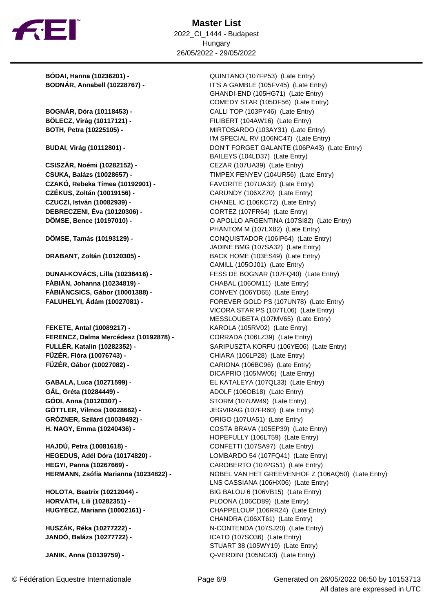

**Master List** 2022\_CI\_1444 - Budapest Hungary 26/05/2022 - 29/05/2022

**CZAKÓ, Rebeka Tímea (10192901) -** FAVORITE (107UA32) (Late Entry) **CZÉKUS, Zoltán (10019156) -** CARUNDY (106XZ70) (Late Entry) **CZUCZI, István (10082939) -** CHANEL IC (106KC72) (Late Entry) **DEBRECZENI, Éva (10120306) -** CORTEZ (107FR64) (Late Entry)

**FÁBIÁN, Johanna (10234819) -** CHABAL (106OM11) (Late Entry) **FÁBIÁNCSICS, Gábor (10001388) -** CONVEY (106YD65) (Late Entry)

**FEKETE, Antal (10089217) -** KAROLA (105RV02) (Late Entry) **FERENCZ, Dalma Mercédesz (10192878) -** CORRADA (106LZ39) (Late Entry) **FÜZÉR, Flóra (10076743) -** CHIARA (106LP28) (Late Entry) **FÜZÉR, Gábor (10027082) -** CARIONA (106BC96) (Late Entry)

**GÁL, Gréta (10284449) -** ADOLF (106OB18) (Late Entry) **GÓDI, Anna (10120307) -** STORM (107UW49) (Late Entry) **GRÓZNER, Szilárd (10039492) -** ORIGO (107UA51) (Late Entry)

**HAJDÚ, Petra (10081618) -** CONFETTI (107SA97) (Late Entry) **HEGEDUS, Adél Dóra (10174820) -** LOMBARDO 54 (107FQ41) (Late Entry) **HEGYI, Panna (10267669) -** CAROBERTO (107PG51) (Late Entry)

**HORVÁTH, Lili (10282351) -** PLOONA (106CD89) (Late Entry)

**JANIK, Anna (10139759) -** Q-VERDINI (105NC43) (Late Entry)

**BÓDAI, Hanna (10236201) -** QUINTANO (107FP53) (Late Entry) **BODNÁR, Annabell (10228767) -** IT'S A GAMBLE (105FV45) (Late Entry) GHANDI-END (105HG71) (Late Entry) COMEDY STAR (105DF56) (Late Entry) **BOGNÁR, Dóra (10118453) -** CALLI TOP (103PY46) (Late Entry) **BÖLECZ, Virág (10117121) -** FILIBERT (104AW16) (Late Entry) **BOTH, Petra (10225105) -** MIRTOSARDO (103AY31) (Late Entry) I'M SPECIAL RV (106NC47) (Late Entry) **BUDAI, Virág (10112801) -** DON'T FORGET GALANTE (106PA43) (Late Entry) BAILEYS (104LD37) (Late Entry) **CSISZÁR, Noémi (10282152) -** CEZAR (107UA39) (Late Entry) **CSUKA, Balázs (10028657) -** TIMPEX FENYEV (104UR56) (Late Entry) **DÖMSE, Bence (10197010) -** O APOLLO ARGENTINA (107SI82) (Late Entry) PHANTOM M (107LX82) (Late Entry) **DÖMSE, Tamás (10193129) -** CONQUISTADOR (106IP64) (Late Entry) JADINE BMG (107SA32) (Late Entry) **DRABANT, Zoltán (10120305) -** BACK HOME (103ES49) (Late Entry) CAMILL (105OJ01) (Late Entry) **DUNAI-KOVÁCS, Lilla (10236416) -** FESS DE BOGNAR (107FQ40) (Late Entry) **FALUHELYI, Ádám (10027081) -** FOREVER GOLD PS (107UN78) (Late Entry) VICORA STAR PS (107TL06) (Late Entry) MESSLOUBETA (107MV65) (Late Entry) **FULLÉR, Katalin (10282352) -** SARIPUSZTA KORFU (106YE06) (Late Entry) DICAPRIO (105NW05) (Late Entry) **GABALA, Luca (10271599) -** EL KATALEYA (107QL33) (Late Entry) **GÖTTLER, Vilmos (10028662) -** JEGVIRAG (107FR60) (Late Entry) **H. NAGY, Emma (10240436) -** COSTA BRAVA (105EP39) (Late Entry) HOPEFULLY (106LT59) (Late Entry) **HERMANN, Zsófia Marianna (10234822) -** NOBEL VAN HET GREEVENHOF Z (106AQ50) (Late Entry) LNS CASSIANA (106HX06) (Late Entry) **HOLOTA, Beatrix (10212044) -** BIG BALOU 6 (106VB15) (Late Entry) **HUGYECZ, Mariann (10002161) -** CHAPPELOUP (106RR24) (Late Entry) CHANDRA (106XT61) (Late Entry) **HUSZÁK, Réka (10277222) -** N-CONTENDA (107SJ20) (Late Entry) **JANDÓ, Balázs (10277722) -** ICATO (107SO36) (Late Entry) STUART 38 (105WY19) (Late Entry)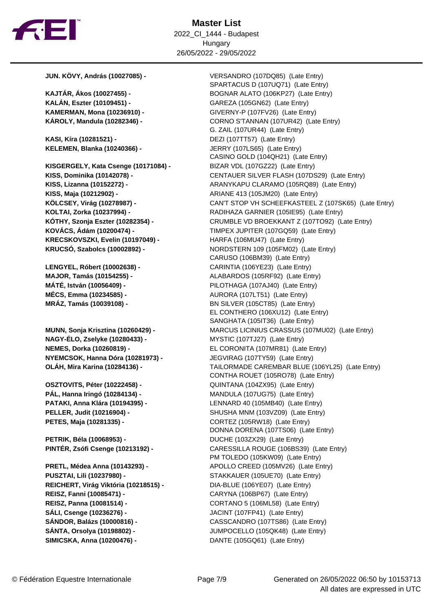

**KALÁN, Eszter (10109451) -** GAREZA (105GN62) (Late Entry)

**KASI, Kíra (10281521) -** DEZI (107TT57) (Late Entry) **KELEMEN, Blanka (10240366) -** JERRY (107LS65) (Late Entry)

**KISGERGELY, Kata Csenge (10171084) -** BIZAR VDL (107GZ22) (Late Entry) **KISS, Maja (10212902) - <br>ARIANE 413 (105JM20) (Late Entry) KOVÁCS, Ádám (10200474) -** TIMPEX JUPITER (107GQ59) (Late Entry) **KRECSKOVSZKI, Evelin (10197049) -** HARFA (106MU47) (Late Entry)

**NAGY-ÉLO, Zselyke (10280433) -** MYSTIC (107TJ27) (Late Entry) **NEMES, Dorka (10260819) -** EL CORONITA (107MR81) (Late Entry) **NYEMCSOK, Hanna Dóra (10281973) -** JEGVIRAG (107TY59) (Late Entry)

**PETES, Maja (10281335) -** CORTEZ (105RW18) (Late Entry)

**PETRIK, Béla (10068953) -** DUCHE (103ZX29) (Late Entry)

**PUSZTAI, Lili (10237980) -** STAKKAUER (105UE70) (Late Entry) **REICHERT, Virág Viktória (10218515) -** DIA-BLUE (106YE07) (Late Entry) **REISZ, Fanni (10085471) -** CARYNA (106BP67) (Late Entry) **REISZ, Panna (10081514) -** CORTANO 5 (106ML58) (Late Entry) **SÁLI, Csenge (10236276) -** JACINT (107FP41) (Late Entry) **SÁNDOR, Balázs (10000816) -** CASSCANDRO (107TS86) (Late Entry) **SÁNTA, Orsolya (10198802) -** JUMPOCELLO (105QK48) (Late Entry) **SIMICSKA, Anna (10200476) -** DANTE (105GQ61) (Late Entry)

**JUN. KÖVY, András (10027085) -** VERSANDRO (107DQ85) (Late Entry) SPARTACUS D (107UQ71) (Late Entry) **KAJTÁR, Ákos (10027455) -** BOGNAR ALATO (106KP27) (Late Entry) **KAMERMAN, Mona (10236910) -** GIVERNY-P (107FV26) (Late Entry) **KÁROLY, Mandula (10282346) -** CORNO S'TANNAN (107UR42) (Late Entry) G. ZAIL (107UR44) (Late Entry) CASINO GOLD (104QH21) (Late Entry) **KISS, Dominika (10142078) -** CENTAUER SILVER FLASH (107DS29) (Late Entry) **KISS, Lizanna (10152272) -** ARANYKAPU CLARAMO (105RQ89) (Late Entry) **KÖLCSEY, Virág (10278987) -** CAN'T STOP VH SCHEEFKASTEEL Z (107SK65) (Late Entry) **KOLTAI, Zorka (10237994) -** RADIHAZA GARNIER (105IE95) (Late Entry) **KÓTHY, Szonja Eszter (10282354) -** CRUMBLE VD BROEKKANT Z (107TO92) (Late Entry) **KRUCSÓ, Szabolcs (10002892) -** NORDSTERN 109 (105FM02) (Late Entry) CARUSO (106BM39) (Late Entry) **LENGYEL, Róbert (10002638) -** CARINTIA (106YE23) (Late Entry) **MAJOR, Tamás (10154255) -** ALABARDOS (105RF92) (Late Entry) **MÁTÉ, István (10056409) -** PILOTHAGA (107AJ40) (Late Entry) **MÉCS, Emma (10234585) -** AURORA (107LT51) (Late Entry) **MRÁZ, Tamás (10039108) -** BN SILVER (105CT85) (Late Entry) EL CONTHERO (106XU12) (Late Entry) SANGHATA (105IT36) (Late Entry) **MUNN, Sonja Krisztina (10260429) -** MARCUS LICINIUS CRASSUS (107MU02) (Late Entry) **OLÁH, Mira Karina (10284136) -** TAILORMADE CAREMBAR BLUE (106YL25) (Late Entry) CONTHA ROUET (105RO78) (Late Entry) **OSZTOVITS, Péter (10222458) -** QUINTANA (104ZX95) (Late Entry) **PÁL, Hanna Iringó (10284134) -** MANDULA (107UG75) (Late Entry) **PATAKI, Anna Klára (10194395) -** LENNARD 40 (105MB40) (Late Entry) **PELLER, Judit (10216904) -** SHUSHA MNM (103VZ09) (Late Entry) DONNA DORENA (107TS06) (Late Entry) **PINTÉR, Zsófi Csenge (10213192) -** CARESSILLA ROUGE (106BS39) (Late Entry) PM TOLEDO (105KW09) (Late Entry) **PRETL, Médea Anna (10143293) -** APOLLO CREED (105MV26) (Late Entry)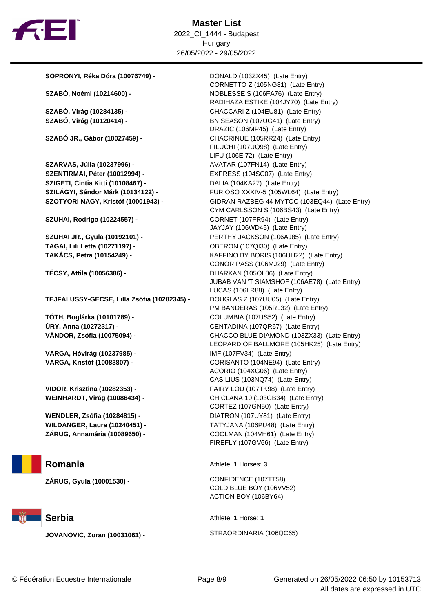

**Master List** 2022\_CI\_1444 - Budapest Hungary 26/05/2022 - 29/05/2022

**SOPRONYI, Réka Dóra (10076749) -** DONALD (103ZX45) (Late Entry)

**SZARVAS, Júlia (10237996) -** AVATAR (107FN14) (Late Entry) **SZENTIRMAI, Péter (10012994) -** EXPRESS (104SC07) (Late Entry) **SZIGETI, Cintia Kitti (10108467) -** DALIA (104KA27) (Late Entry)

**TEJFALUSSY-GECSE, Lilla Zsófia (10282345) -** DOUGLAS Z (107UU05) (Late Entry)

**VARGA, Hóvirág (10237985) -** IMF (107FV34) (Late Entry)



**JOVANOVIC, Zoran (10031061) -** STRAORDINARIA (106QC65)

CORNETTO Z (105NG81) (Late Entry) **SZABÓ, Noémi (10214600) -** NOBLESSE S (106FA76) (Late Entry) RADIHAZA ESTIKE (104JY70) (Late Entry) **SZABÓ, Virág (10284135) -** CHACCARI Z (104EU81) (Late Entry) **SZABÓ, Virág (10120414) -** BN SEASON (107UG41) (Late Entry) DRAZIC (106MP45) (Late Entry) **SZABÓ JR., Gábor (10027459) -** CHACRINUE (105RR24) (Late Entry) FILUCHI (107UQ98) (Late Entry) LIFU (106EI72) (Late Entry) **SZILÁGYI, Sándor Márk (10134122) -** FURIOSO XXXIV-5 (105WL64) (Late Entry) **SZOTYORI NAGY, Kristóf (10001943) -** GIDRAN RAZBEG 44 MYTOC (103EQ44) (Late Entry) CYM CARLSSON S (106BS43) (Late Entry) **SZUHAI, Rodrigo (10224557) -** CORNET (107FR94) (Late Entry) JAYJAY (106WD45) (Late Entry) **SZUHAI JR., Gyula (10192101) -** PERTHY JACKSON (106AJ85) (Late Entry) **TAGAI, Lili Letta (10271197) -** OBERON (107QI30) (Late Entry) **TAKÁCS, Petra (10154249) -** KAFFINO BY BORIS (106UH22) (Late Entry) CONOR PASS (106MJ29) (Late Entry) **TÉCSY, Attila (10056386) -** DHARKAN (105OL06) (Late Entry) JUBAB VAN 'T SIAMSHOF (106AE78) (Late Entry) LUCAS (106LR88) (Late Entry) PM BANDERAS (105RL32) (Late Entry) **TÓTH, Boglárka (10101789) -** COLUMBIA (107US52) (Late Entry) **ÚRY, Anna (10272317) -** CENTADINA (107QR67) (Late Entry) **VÁNDOR, Zsófia (10075094) -** CHACCO BLUE DIAMOND (103ZX33) (Late Entry) LEOPARD OF BALLMORE (105HK25) (Late Entry) **VARGA, Kristóf (10083807) -** CORISANTO (104NE94) (Late Entry) ACORIO (104XG06) (Late Entry) CASILIUS (103NQ74) (Late Entry) **VIDOR, Krisztina (10282353) -** FAIRY LOU (107TK98) (Late Entry) **WEINHARDT, Virág (10086434) -** CHICLANA 10 (103GB34) (Late Entry) CORTEZ (107GN50) (Late Entry) **WENDLER, Zsófia (10284815) -** DIATRON (107UY81) (Late Entry) **WILDANGER, Laura (10240451) -** TATYJANA (106PU48) (Late Entry) **ZÁRUG, Annamária (10089650) -** COOLMAN (104VH61) (Late Entry) FIREFLY (107GV66) (Late Entry)

**Romania** Athlete: **1** Horses: **3** 

**ZÁRUG, Gyula (10001530) -** CONFIDENCE (107TT58) COLD BLUE BOY (106VV52) ACTION BOY (106BY64)

**Serbia** Athlete: **1** Horse: **1**